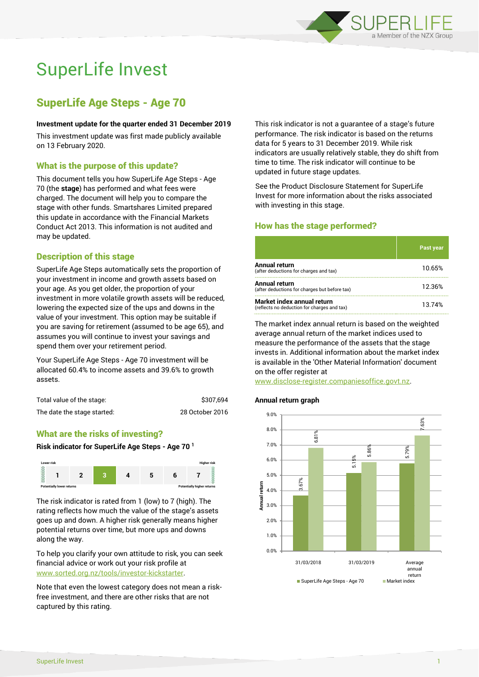

# SuperLife Invest

# SuperLife Age Steps - Age 70

#### **Investment update for the quarter ended 31 December 2019**

This investment update was first made publicly available on 13 February 2020.

## What is the purpose of this update?

This document tells you how SuperLife Age Steps - Age 70 (the **stage**) has performed and what fees were charged. The document will help you to compare the stage with other funds. Smartshares Limited prepared this update in accordance with the Financial Markets Conduct Act 2013. This information is not audited and may be updated.

# Description of this stage

SuperLife Age Steps automatically sets the proportion of your investment in income and growth assets based on your age. As you get older, the proportion of your investment in more volatile growth assets will be reduced, lowering the expected size of the ups and downs in the value of your investment. This option may be suitable if you are saving for retirement (assumed to be age 65), and assumes you will continue to invest your savings and spend them over your retirement period.

Your SuperLife Age Steps - Age 70 investment will be allocated 60.4% to income assets and 39.6% to growth assets.

| Total value of the stage:   | \$307,694       |
|-----------------------------|-----------------|
| The date the stage started: | 28 October 2016 |

# What are the risks of investing?

#### **Risk indicator for SuperLife Age Steps - Age 70 <sup>1</sup>**



The risk indicator is rated from 1 (low) to 7 (high). The rating reflects how much the value of the stage's assets goes up and down. A higher risk generally means higher potential returns over time, but more ups and downs along the way.

To help you clarify your own attitude to risk, you can seek financial advice or work out your risk profile at [www.sorted.org.nz/tools/investor-kickstarter.](http://www.sorted.org.nz/tools/investor-kickstarter)

Note that even the lowest category does not mean a riskfree investment, and there are other risks that are not captured by this rating.

This risk indicator is not a guarantee of a stage's future performance. The risk indicator is based on the returns data for 5 years to 31 December 2019. While risk indicators are usually relatively stable, they do shift from time to time. The risk indicator will continue to be updated in future stage updates.

See the Product Disclosure Statement for SuperLife Invest for more information about the risks associated with investing in this stage.

# How has the stage performed?

|                                                                           | <b>Past year</b> |
|---------------------------------------------------------------------------|------------------|
| Annual return<br>(after deductions for charges and tax)                   | 10.65%           |
| Annual return<br>(after deductions for charges but before tax)            | 12.36%           |
| Market index annual return<br>(reflects no deduction for charges and tax) | 13.74%           |

The market index annual return is based on the weighted average annual return of the market indices used to measure the performance of the assets that the stage invests in. Additional information about the market index is available in the 'Other Material Information' document on the offer register at

www.disclose-register.companiesoffice.govt.nz.

#### **Annual return graph**

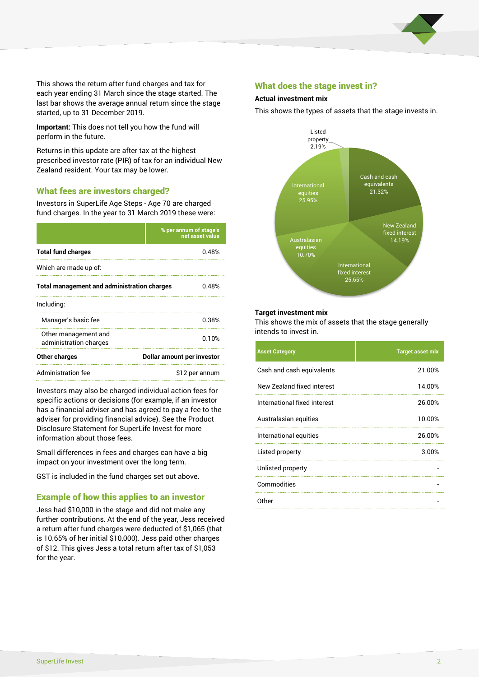

This shows the return after fund charges and tax for each year ending 31 March since the stage started. The last bar shows the average annual return since the stage started, up to 31 December 2019.

**Important:** This does not tell you how the fund will perform in the future.

Returns in this update are after tax at the highest prescribed investor rate (PIR) of tax for an individual New Zealand resident. Your tax may be lower.

# What fees are investors charged?

Investors in SuperLife Age Steps - Age 70 are charged fund charges. In the year to 31 March 2019 these were:

|                                                    | % per annum of stage's<br>net asset value |  |
|----------------------------------------------------|-------------------------------------------|--|
| <b>Total fund charges</b>                          | 0.48%                                     |  |
| Which are made up of:                              |                                           |  |
| <b>Total management and administration charges</b> | 0.48%                                     |  |
| Including:                                         |                                           |  |
| Manager's basic fee                                | 0.38%                                     |  |
| Other management and<br>administration charges     | 0.10%                                     |  |
| Other charges                                      | Dollar amount per investor                |  |
| Administration fee                                 | \$12 per annum                            |  |

Investors may also be charged individual action fees for specific actions or decisions (for example, if an investor has a financial adviser and has agreed to pay a fee to the adviser for providing financial advice). See the Product Disclosure Statement for SuperLife Invest for more information about those fees.

Small differences in fees and charges can have a big impact on your investment over the long term.

GST is included in the fund charges set out above.

# Example of how this applies to an investor

Jess had \$10,000 in the stage and did not make any further contributions. At the end of the year, Jess received a return after fund charges were deducted of \$1,065 (that is 10.65% of her initial \$10,000). Jess paid other charges of \$12. This gives Jess a total return after tax of \$1,053 for the year.

#### What does the stage invest in?

#### **Actual investment mix**

This shows the types of assets that the stage invests in.



#### **Target investment mix**

This shows the mix of assets that the stage generally intends to invest in.

| <b>Asset Category</b>        | <b>Target asset mix</b> |
|------------------------------|-------------------------|
| Cash and cash equivalents    | 21.00%                  |
| New Zealand fixed interest   | 14.00%                  |
| International fixed interest | 26.00%                  |
| Australasian equities        | 10.00%                  |
| International equities       | 26.00%                  |
| Listed property              | 3.00%                   |
| Unlisted property            |                         |
| Commodities                  |                         |
| Other                        |                         |